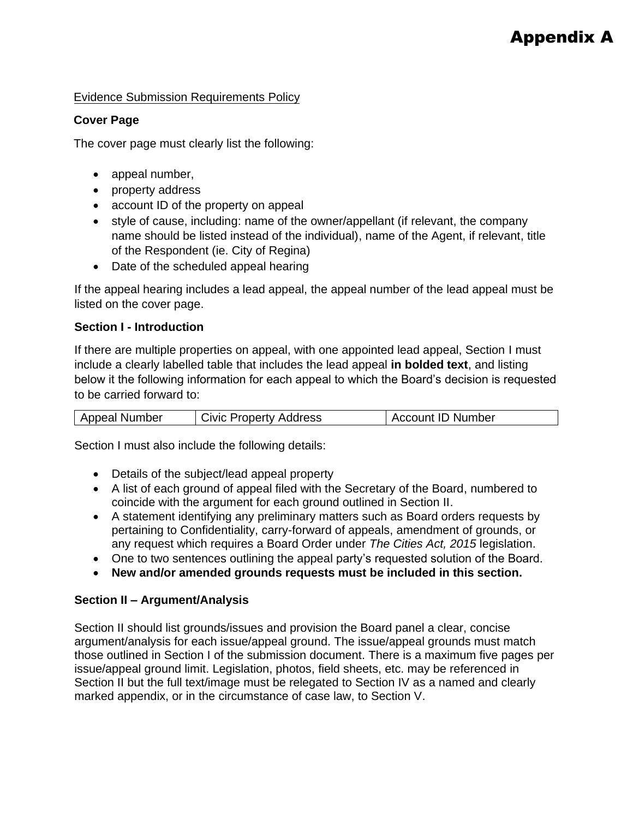## Evidence Submission Requirements Policy

### **Cover Page**

The cover page must clearly list the following:

- appeal number,
- property address
- account ID of the property on appeal
- style of cause, including: name of the owner/appellant (if relevant, the company name should be listed instead of the individual), name of the Agent, if relevant, title of the Respondent (ie. City of Regina)
- Date of the scheduled appeal hearing

If the appeal hearing includes a lead appeal, the appeal number of the lead appeal must be listed on the cover page.

### **Section I - Introduction**

If there are multiple properties on appeal, with one appointed lead appeal, Section I must include a clearly labelled table that includes the lead appeal **in bolded text**, and listing below it the following information for each appeal to which the Board's decision is requested to be carried forward to:

Section I must also include the following details:

- Details of the subject/lead appeal property
- A list of each ground of appeal filed with the Secretary of the Board, numbered to coincide with the argument for each ground outlined in Section II.
- A statement identifying any preliminary matters such as Board orders requests by pertaining to Confidentiality, carry-forward of appeals, amendment of grounds, or any request which requires a Board Order under *The Cities Act, 2015* legislation.
- One to two sentences outlining the appeal party's requested solution of the Board.
- **New and/or amended grounds requests must be included in this section.**

# **Section II – Argument/Analysis**

Section II should list grounds/issues and provision the Board panel a clear, concise argument/analysis for each issue/appeal ground. The issue/appeal grounds must match those outlined in Section I of the submission document. There is a maximum five pages per issue/appeal ground limit. Legislation, photos, field sheets, etc. may be referenced in Section II but the full text/image must be relegated to Section IV as a named and clearly marked appendix, or in the circumstance of case law, to Section V.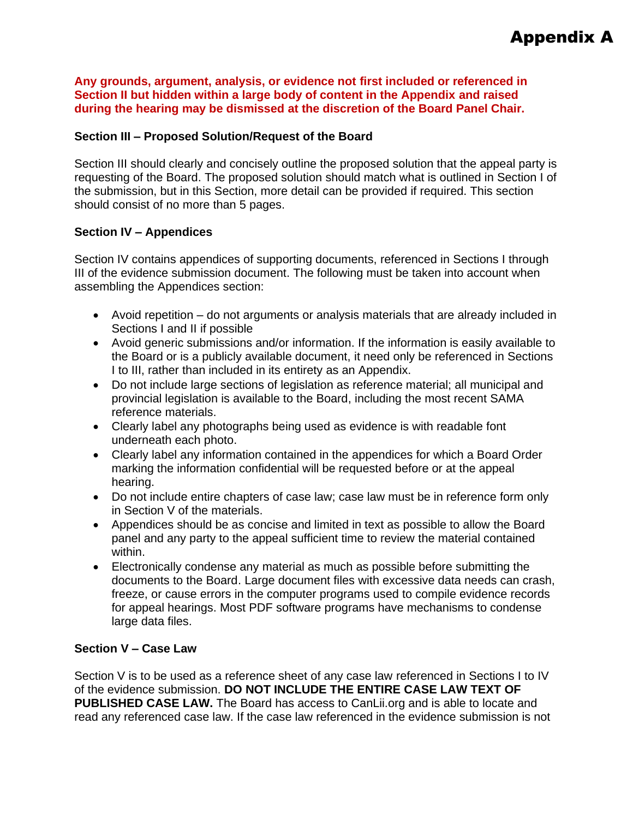**Any grounds, argument, analysis, or evidence not first included or referenced in Section II but hidden within a large body of content in the Appendix and raised during the hearing may be dismissed at the discretion of the Board Panel Chair.**

## **Section III – Proposed Solution/Request of the Board**

Section III should clearly and concisely outline the proposed solution that the appeal party is requesting of the Board. The proposed solution should match what is outlined in Section I of the submission, but in this Section, more detail can be provided if required. This section should consist of no more than 5 pages.

### **Section IV – Appendices**

Section IV contains appendices of supporting documents, referenced in Sections I through III of the evidence submission document. The following must be taken into account when assembling the Appendices section:

- Avoid repetition do not arguments or analysis materials that are already included in Sections I and II if possible
- Avoid generic submissions and/or information. If the information is easily available to the Board or is a publicly available document, it need only be referenced in Sections I to III, rather than included in its entirety as an Appendix.
- Do not include large sections of legislation as reference material; all municipal and provincial legislation is available to the Board, including the most recent SAMA reference materials.
- Clearly label any photographs being used as evidence is with readable font underneath each photo.
- Clearly label any information contained in the appendices for which a Board Order marking the information confidential will be requested before or at the appeal hearing.
- Do not include entire chapters of case law; case law must be in reference form only in Section V of the materials.
- Appendices should be as concise and limited in text as possible to allow the Board panel and any party to the appeal sufficient time to review the material contained within.
- Electronically condense any material as much as possible before submitting the documents to the Board. Large document files with excessive data needs can crash, freeze, or cause errors in the computer programs used to compile evidence records for appeal hearings. Most PDF software programs have mechanisms to condense large data files.

### **Section V – Case Law**

Section V is to be used as a reference sheet of any case law referenced in Sections I to IV of the evidence submission. **DO NOT INCLUDE THE ENTIRE CASE LAW TEXT OF PUBLISHED CASE LAW.** The Board has access to CanLii.org and is able to locate and read any referenced case law. If the case law referenced in the evidence submission is not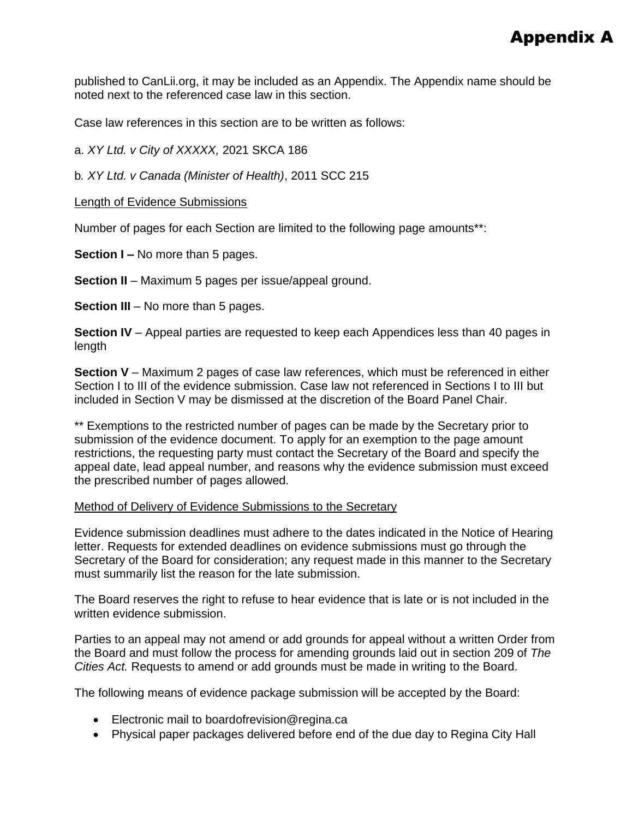published to CanLii.org, it may be included as an Appendix. The Appendix name should be noted next to the referenced case law in this section.

Case law references in this section are to be written as follows:

a. *XY Ltd. v City of XXXXX,* 2021 SKCA 186

b*. XY Ltd. v Canada (Minister of Health)*, 2011 SCC 215

Length of Evidence Submissions

Number of pages for each Section are limited to the following page amounts\*\*:

**Section I –** No more than 5 pages.

**Section II** – Maximum 5 pages per issue/appeal ground.

**Section III** – No more than 5 pages.

**Section IV** – Appeal parties are requested to keep each Appendices less than 40 pages in length

**Section V** – Maximum 2 pages of case law references, which must be referenced in either Section I to III of the evidence submission. Case law not referenced in Sections I to III but included in Section V may be dismissed at the discretion of the Board Panel Chair.

\*\* Exemptions to the restricted number of pages can be made by the Secretary prior to submission of the evidence document. To apply for an exemption to the page amount restrictions, the requesting party must contact the Secretary of the Board and specify the appeal date, lead appeal number, and reasons why the evidence submission must exceed the prescribed number of pages allowed.

### Method of Delivery of Evidence Submissions to the Secretary

Evidence submission deadlines must adhere to the dates indicated in the Notice of Hearing letter. Requests for extended deadlines on evidence submissions must go through the Secretary of the Board for consideration; any request made in this manner to the Secretary must summarily list the reason for the late submission.

The Board reserves the right to refuse to hear evidence that is late or is not included in the written evidence submission.

Parties to an appeal may not amend or add grounds for appeal without a written Order from the Board and must follow the process for amending grounds laid out in section 209 of *The Cities Act.* Requests to amend or add grounds must be made in writing to the Board.

The following means of evidence package submission will be accepted by the Board:

- Electronic mail to boardofrevision@regina.ca
- Physical paper packages delivered before end of the due day to Regina City Hall